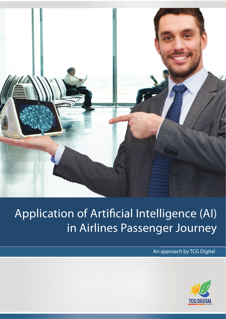

# Application of Artificial Intelligence (AI) in Airlines Passenger Journey

An approach by TCG Digital

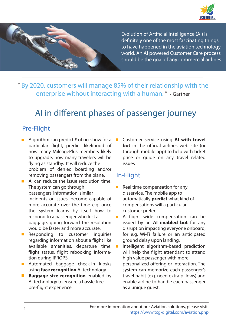



Evolution of Artificial Intelligence (AI) is definitely one of the most fascinating things to have happened in the aviation technology world. An AI powered Customer Care process should be the goal of any commercial airlines.

" By 2020, customers will manage 85% of their relationship with the enterprise without interacting with a human. " - Gartner

### AI in different phases of passenger journey

### Pre-Flight

- Algorithm can predict # of no-show for a  $\blacksquare$ particular flight, predict likelihood of how many MileagePlus members likely to upgrade, how many travelers will be flying as standby. It will reduce the problem of denied boarding and/or removing passengers from the plane.
- AI can reduce the issue resolution time. The system can go through passengers' information, similar incidents or issues, become capable of more accurate over the time e.g. once the system learns by itself how to respond to a passenger who lost a baggage, going forward the resolution would be faster and more accurate.
- **Responding to customer inquiries** regarding information about a flight like available amenities, departure time, flight status, flight rebooking information during IRROPS.
- **Automated baggage check-in kiosks** using **face recognition** AI technology
- **Baggage size recognition** enabled by AI technology to ensure a hassle free pre-flight experience

Customer service using **AI with travel bot** in the official airlines web site (or through mobile app) to help with ticket price or guide on any travel related issues

### In-Flight

- Real time compensation for any disservice. The mobile app to automatically **predict** what kind of compensations will a particular customer prefer.
- A flight wide compensation can be issued by an **AI enabled bot** for any disruption impacting everyone onboard, for e.g. Wi-Fi failure or an anticipated ground delay upon landing.
- Intelligent algorithm-based prediction will help the flight attendant to attend high value passenger with more personalized offering or interaction. The system can memorize each passenger's travel habit (e.g. need extra pillows) and enable airline to handle each passenger as a unique guest.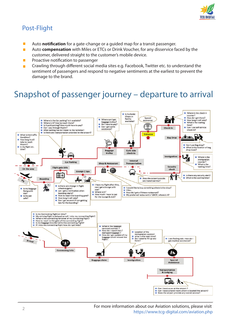

### Post-Flight

- Auto **notification** for a gate-change or a guided map for a transit passenger.
- Auto **compensation** with Miles or ETCs or Drink Voucher, for any disservice faced by the п customer, delivered straight to the customer's mobile device.
- Proactive notification to passenger ×
- Crawling through different social media sites e.g. Facebook, Twitter etc. to understand the sentiment of passengers and respond to negative sentiments at the earliest to prevent the damage to the brand.

## Snapshot of passenger journey – departure to arrival